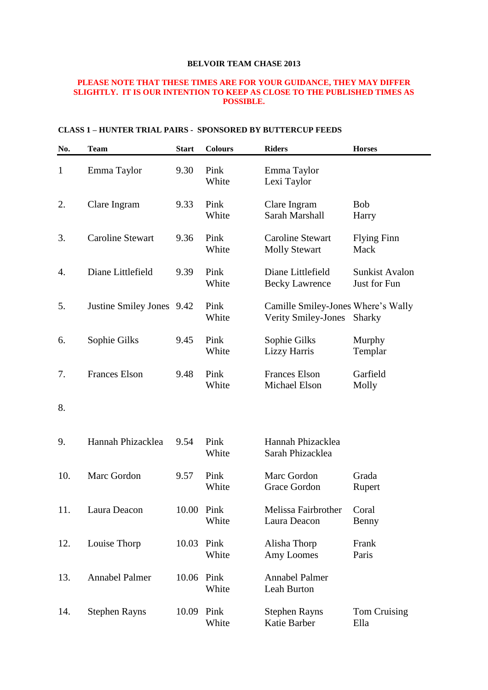#### **PLEASE NOTE THAT THESE TIMES ARE FOR YOUR GUIDANCE, THEY MAY DIFFER SLIGHTLY. IT IS OUR INTENTION TO KEEP AS CLOSE TO THE PUBLISHED TIMES AS POSSIBLE.**

#### **CLASS 1 – HUNTER TRIAL PAIRS - SPONSORED BY BUTTERCUP FEEDS**

| No.          | <b>Team</b>               | <b>Start</b> | <b>Colours</b> | <b>Riders</b>                                                    | <b>Horses</b>                         |
|--------------|---------------------------|--------------|----------------|------------------------------------------------------------------|---------------------------------------|
| $\mathbf{1}$ | Emma Taylor               | 9.30         | Pink<br>White  | Emma Taylor<br>Lexi Taylor                                       |                                       |
| 2.           | Clare Ingram              | 9.33         | Pink<br>White  | Clare Ingram<br>Sarah Marshall                                   | <b>Bob</b><br>Harry                   |
| 3.           | <b>Caroline Stewart</b>   | 9.36         | Pink<br>White  | <b>Caroline Stewart</b><br><b>Molly Stewart</b>                  | <b>Flying Finn</b><br>Mack            |
| 4.           | Diane Littlefield         | 9.39         | Pink<br>White  | Diane Littlefield<br><b>Becky Lawrence</b>                       | <b>Sunkist Avalon</b><br>Just for Fun |
| 5.           | Justine Smiley Jones 9.42 |              | Pink<br>White  | Camille Smiley-Jones Where's Wally<br><b>Verity Smiley-Jones</b> | <b>Sharky</b>                         |
| 6.           | Sophie Gilks              | 9.45         | Pink<br>White  | Sophie Gilks<br><b>Lizzy Harris</b>                              | Murphy<br>Templar                     |
| 7.           | <b>Frances Elson</b>      | 9.48         | Pink<br>White  | <b>Frances Elson</b><br>Michael Elson                            | Garfield<br>Molly                     |
| 8.           |                           |              |                |                                                                  |                                       |
| 9.           | Hannah Phizacklea         | 9.54         | Pink<br>White  | Hannah Phizacklea<br>Sarah Phizacklea                            |                                       |
| 10.          | Marc Gordon               | 9.57         | Pink<br>White  | Marc Gordon<br>Grace Gordon                                      | Grada<br>Rupert                       |
| 11.          | Laura Deacon              | 10.00 Pink   | White          | Melissa Fairbrother<br>Laura Deacon                              | Coral<br>Benny                        |
| 12.          | Louise Thorp              | 10.03        | Pink<br>White  | Alisha Thorp<br>Amy Loomes                                       | Frank<br>Paris                        |
| 13.          | Annabel Palmer            | 10.06 Pink   | White          | Annabel Palmer<br>Leah Burton                                    |                                       |
| 14.          | <b>Stephen Rayns</b>      | 10.09        | Pink<br>White  | <b>Stephen Rayns</b><br>Katie Barber                             | Tom Cruising<br>Ella                  |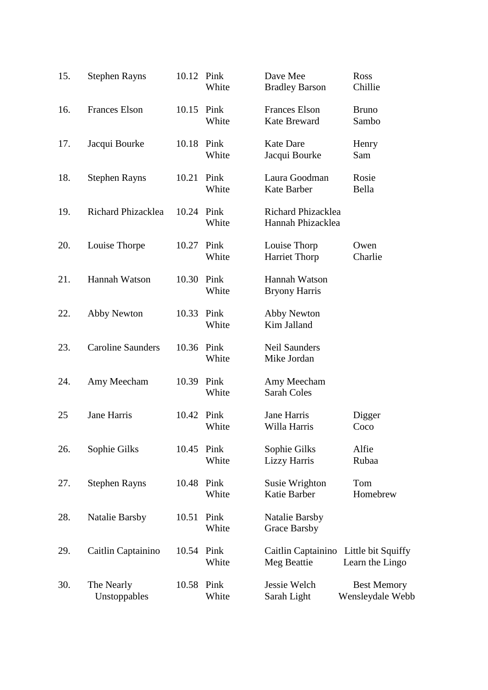| 15. | <b>Stephen Rayns</b>       | 10.12 Pink | White               | Dave Mee<br><b>Bradley Barson</b>           | Ross<br>Chillie                        |
|-----|----------------------------|------------|---------------------|---------------------------------------------|----------------------------------------|
| 16. | <b>Frances Elson</b>       | 10.15 Pink | White               | <b>Frances Elson</b><br><b>Kate Breward</b> | <b>Bruno</b><br>Sambo                  |
| 17. | Jacqui Bourke              | 10.18 Pink | White               | <b>Kate Dare</b><br>Jacqui Bourke           | Henry<br>Sam                           |
| 18. | <b>Stephen Rayns</b>       | 10.21      | Pink<br>White       | Laura Goodman<br>Kate Barber                | Rosie<br>Bella                         |
| 19. | Richard Phizacklea         | 10.24 Pink | White               | Richard Phizacklea<br>Hannah Phizacklea     |                                        |
| 20. | Louise Thorpe              | 10.27      | Pink<br>White       | Louise Thorp<br><b>Harriet Thorp</b>        | Owen<br>Charlie                        |
| 21. | Hannah Watson              | 10.30      | Pink<br>White       | Hannah Watson<br><b>Bryony Harris</b>       |                                        |
| 22. | Abby Newton                | 10.33      | Pink<br>White       | Abby Newton<br>Kim Jalland                  |                                        |
| 23. | <b>Caroline Saunders</b>   | 10.36      | Pink<br>White       | <b>Neil Saunders</b><br>Mike Jordan         |                                        |
| 24. | Amy Meecham                |            | 10.39 Pink<br>White | Amy Meecham<br><b>Sarah Coles</b>           |                                        |
| 25  | Jane Harris                | 10.42      | Pink<br>White       | Jane Harris<br>Willa Harris                 | Digger<br>Coco                         |
| 26. | Sophie Gilks               | 10.45      | Pink<br>White       | Sophie Gilks<br><b>Lizzy Harris</b>         | Alfie<br>Rubaa                         |
| 27. | <b>Stephen Rayns</b>       | 10.48      | Pink<br>White       | Susie Wrighton<br>Katie Barber              | Tom<br>Homebrew                        |
| 28. | <b>Natalie Barsby</b>      | 10.51      | Pink<br>White       | <b>Natalie Barsby</b><br>Grace Barsby       |                                        |
| 29. | Caitlin Captainino         | 10.54 Pink | White               | Caitlin Captainino<br>Meg Beattie           | Little bit Squiffy<br>Learn the Lingo  |
| 30. | The Nearly<br>Unstoppables | 10.58      | Pink<br>White       | Jessie Welch<br>Sarah Light                 | <b>Best Memory</b><br>Wensleydale Webb |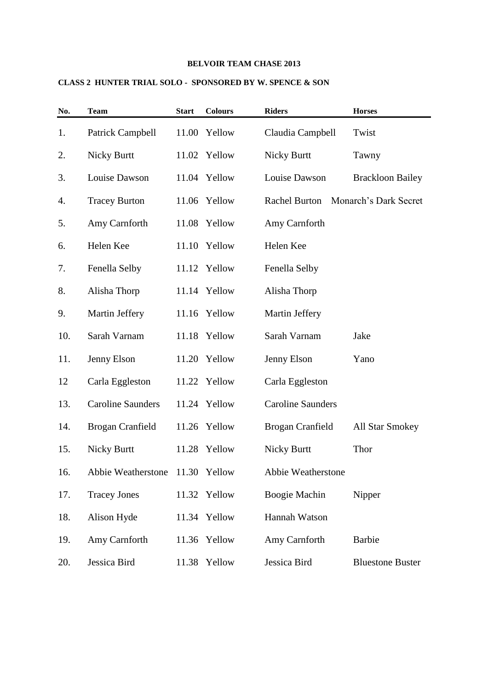## **CLASS 2 HUNTER TRIAL SOLO - SPONSORED BY W. SPENCE & SON**

| No. | <b>Team</b>              | <b>Start</b> | <b>Colours</b> | <b>Riders</b>            | <b>Horses</b>           |
|-----|--------------------------|--------------|----------------|--------------------------|-------------------------|
| 1.  | Patrick Campbell         |              | 11.00 Yellow   | Claudia Campbell         | Twist                   |
| 2.  | <b>Nicky Burtt</b>       |              | 11.02 Yellow   | <b>Nicky Burtt</b>       | Tawny                   |
| 3.  | Louise Dawson            |              | 11.04 Yellow   | Louise Dawson            | <b>Brackloon Bailey</b> |
| 4.  | <b>Tracey Burton</b>     |              | 11.06 Yellow   | <b>Rachel Burton</b>     | Monarch's Dark Secret   |
| 5.  | Amy Carnforth            |              | 11.08 Yellow   | Amy Carnforth            |                         |
| 6.  | Helen Kee                |              | 11.10 Yellow   | Helen Kee                |                         |
| 7.  | Fenella Selby            |              | 11.12 Yellow   | Fenella Selby            |                         |
| 8.  | Alisha Thorp             |              | 11.14 Yellow   | Alisha Thorp             |                         |
| 9.  | Martin Jeffery           |              | 11.16 Yellow   | Martin Jeffery           |                         |
| 10. | Sarah Varnam             |              | 11.18 Yellow   | Sarah Varnam             | Jake                    |
| 11. | Jenny Elson              |              | 11.20 Yellow   | Jenny Elson              | Yano                    |
| 12  | Carla Eggleston          |              | 11.22 Yellow   | Carla Eggleston          |                         |
| 13. | <b>Caroline Saunders</b> |              | 11.24 Yellow   | <b>Caroline Saunders</b> |                         |
| 14. | Brogan Cranfield         |              | 11.26 Yellow   | Brogan Cranfield         | <b>All Star Smokey</b>  |
| 15. | <b>Nicky Burtt</b>       |              | 11.28 Yellow   | <b>Nicky Burtt</b>       | Thor                    |
| 16. | Abbie Weatherstone       |              | 11.30 Yellow   | Abbie Weatherstone       |                         |
| 17. | <b>Tracey Jones</b>      | 11.32        | Yellow         | Boogie Machin            | Nipper                  |
| 18. | Alison Hyde              |              | 11.34 Yellow   | Hannah Watson            |                         |
| 19. | Amy Carnforth            |              | 11.36 Yellow   | Amy Carnforth            | <b>Barbie</b>           |
| 20. | Jessica Bird             | 11.38        | Yellow         | Jessica Bird             | <b>Bluestone Buster</b> |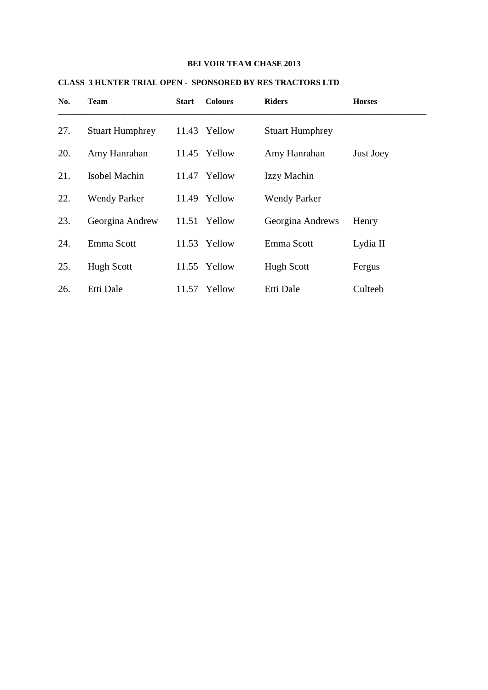| No. | <b>Team</b>            | <b>Start</b> | <b>Colours</b> | <b>Riders</b>          | <b>Horses</b> |
|-----|------------------------|--------------|----------------|------------------------|---------------|
| 27. | <b>Stuart Humphrey</b> |              | 11.43 Yellow   | <b>Stuart Humphrey</b> |               |
| 20. | Amy Hanrahan           |              | 11.45 Yellow   | Amy Hanrahan           | Just Joey     |
| 21. | <b>Isobel Machin</b>   | 11.47        | Yellow         | Izzy Machin            |               |
| 22. | <b>Wendy Parker</b>    |              | 11.49 Yellow   | <b>Wendy Parker</b>    |               |
| 23. | Georgina Andrew        |              | 11.51 Yellow   | Georgina Andrews       | Henry         |
| 24. | Emma Scott             |              | 11.53 Yellow   | Emma Scott             | Lydia II      |
| 25. | <b>Hugh Scott</b>      |              | 11.55 Yellow   | <b>Hugh Scott</b>      | Fergus        |
| 26. | Etti Dale              |              | 11.57 Yellow   | Etti Dale              | Culteeb       |

## **CLASS 3 HUNTER TRIAL OPEN - SPONSORED BY RES TRACTORS LTD**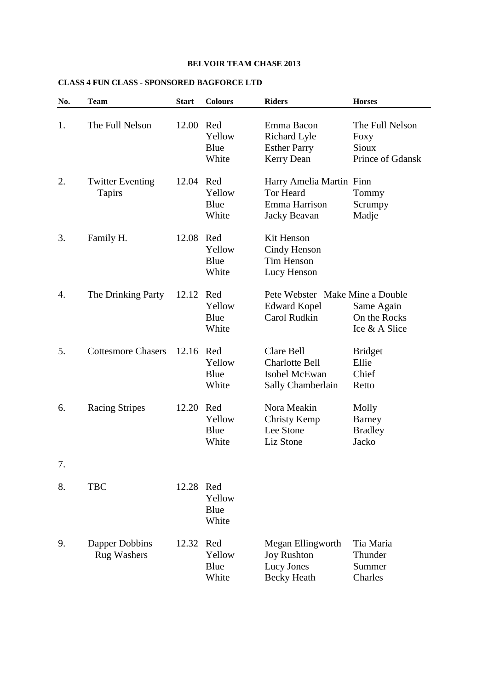# **CLASS 4 FUN CLASS - SPONSORED BAGFORCE LTD**

| No. | <b>Team</b>                          | <b>Start</b> | <b>Colours</b>                 | <b>Riders</b>                                                                 | <b>Horses</b>                                        |
|-----|--------------------------------------|--------------|--------------------------------|-------------------------------------------------------------------------------|------------------------------------------------------|
| 1.  | The Full Nelson                      | 12.00        | Red<br>Yellow<br>Blue<br>White | Emma Bacon<br><b>Richard Lyle</b><br><b>Esther Parry</b><br><b>Kerry Dean</b> | The Full Nelson<br>Foxy<br>Sioux<br>Prince of Gdansk |
| 2.  | <b>Twitter Eventing</b><br>Tapirs    | 12.04        | Red<br>Yellow<br>Blue<br>White | Harry Amelia Martin Finn<br><b>Tor Heard</b><br>Emma Harrison<br>Jacky Beavan | Tommy<br>Scrumpy<br>Madje                            |
| 3.  | Family H.                            | 12.08 Red    | Yellow<br>Blue<br>White        | Kit Henson<br>Cindy Henson<br>Tim Henson<br>Lucy Henson                       |                                                      |
| 4.  | The Drinking Party                   | 12.12        | Red<br>Yellow<br>Blue<br>White | Pete Webster Make Mine a Double<br><b>Edward Kopel</b><br>Carol Rudkin        | Same Again<br>On the Rocks<br>Ice & A Slice          |
| 5.  | <b>Cottesmore Chasers</b>            | 12.16        | Red<br>Yellow<br>Blue<br>White | Clare Bell<br><b>Charlotte Bell</b><br>Isobel McEwan<br>Sally Chamberlain     | <b>Bridget</b><br>Ellie<br>Chief<br>Retto            |
| 6.  | <b>Racing Stripes</b>                | 12.20        | Red<br>Yellow<br>Blue<br>White | Nora Meakin<br>Christy Kemp<br>Lee Stone<br>Liz Stone                         | Molly<br>Barney<br><b>Bradley</b><br>Jacko           |
| 7.  |                                      |              |                                |                                                                               |                                                      |
| 8.  | <b>TBC</b>                           | 12.28        | Red<br>Yellow<br>Blue<br>White |                                                                               |                                                      |
| 9.  | Dapper Dobbins<br><b>Rug Washers</b> | 12.32        | Red<br>Yellow<br>Blue<br>White | Megan Ellingworth<br><b>Joy Rushton</b><br>Lucy Jones<br><b>Becky Heath</b>   | Tia Maria<br>Thunder<br>Summer<br>Charles            |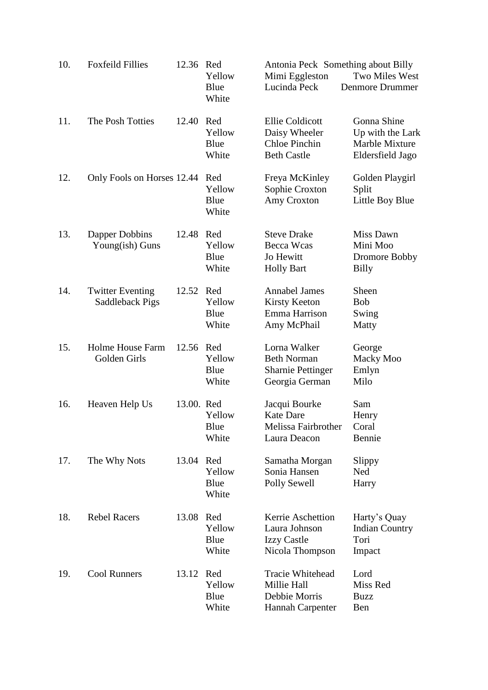| 10. | <b>Foxfeild Fillies</b>                    | 12.36      | Red<br>Yellow<br>Blue                   | Antonia Peck Something about Billy<br>Mimi Eggleston<br>Lucinda Peck             | Two Miles West<br><b>Denmore Drummer</b>                              |
|-----|--------------------------------------------|------------|-----------------------------------------|----------------------------------------------------------------------------------|-----------------------------------------------------------------------|
| 11. | The Posh Totties                           | 12.40      | White<br>Red<br>Yellow<br>Blue<br>White | <b>Ellie Coldicott</b><br>Daisy Wheeler<br>Chloe Pinchin<br><b>Beth Castle</b>   | Gonna Shine<br>Up with the Lark<br>Marble Mixture<br>Eldersfield Jago |
| 12. | Only Fools on Horses 12.44                 |            | Red<br>Yellow<br>Blue<br>White          | Freya McKinley<br>Sophie Croxton<br>Amy Croxton                                  | Golden Playgirl<br>Split<br>Little Boy Blue                           |
| 13. | Dapper Dobbins<br>Young(ish) Guns          | 12.48      | Red<br>Yellow<br>Blue<br>White          | <b>Steve Drake</b><br>Becca Wcas<br>Jo Hewitt<br><b>Holly Bart</b>               | Miss Dawn<br>Mini Moo<br>Dromore Bobby<br><b>Billy</b>                |
| 14. | <b>Twitter Eventing</b><br>Saddleback Pigs | 12.52 Red  | Yellow<br>Blue<br>White                 | <b>Annabel James</b><br><b>Kirsty Keeton</b><br>Emma Harrison<br>Amy McPhail     | Sheen<br><b>Bob</b><br>Swing<br>Matty                                 |
| 15. | Holme House Farm<br>Golden Girls           | 12.56      | Red<br>Yellow<br>Blue<br>White          | Lorna Walker<br><b>Beth Norman</b><br><b>Sharnie Pettinger</b><br>Georgia German | George<br>Macky Moo<br>Emlyn<br>Milo                                  |
| 16. | Heaven Help Us                             | 13.00. Red | Yellow<br>Blue<br>White                 | Jacqui Bourke<br><b>Kate Dare</b><br>Melissa Fairbrother<br>Laura Deacon         | Sam<br>Henry<br>Coral<br>Bennie                                       |
| 17. | The Why Nots                               | 13.04      | Red<br>Yellow<br>Blue<br>White          | Samatha Morgan<br>Sonia Hansen<br>Polly Sewell                                   | Slippy<br>Ned<br>Harry                                                |
| 18. | <b>Rebel Racers</b>                        | 13.08      | Red<br>Yellow<br>Blue<br>White          | Kerrie Aschettion<br>Laura Johnson<br><b>Izzy Castle</b><br>Nicola Thompson      | Harty's Quay<br><b>Indian Country</b><br>Tori<br>Impact               |
| 19. | <b>Cool Runners</b>                        | 13.12      | Red<br>Yellow<br>Blue<br>White          | Tracie Whitehead<br>Millie Hall<br>Debbie Morris<br>Hannah Carpenter             | Lord<br>Miss Red<br><b>Buzz</b><br>Ben                                |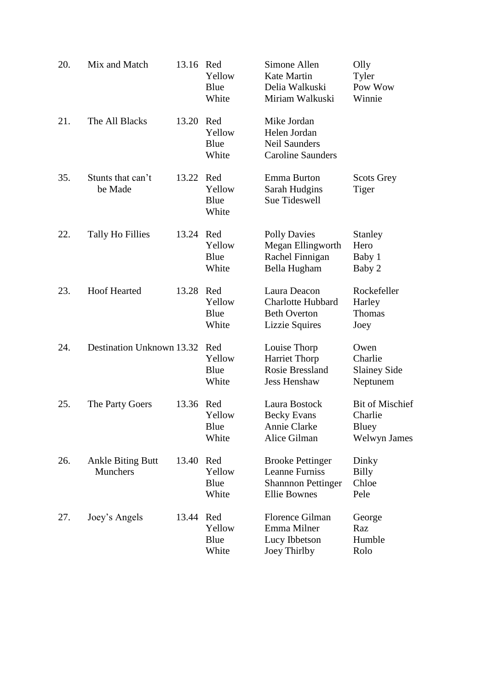| 20. | Mix and Match                               | 13.16     | Red<br>Yellow<br>Blue<br>White | Simone Allen<br>Kate Martin<br>Delia Walkuski<br>Miriam Walkuski                                    | Olly<br>Tyler<br>Pow Wow<br>Winnie                         |
|-----|---------------------------------------------|-----------|--------------------------------|-----------------------------------------------------------------------------------------------------|------------------------------------------------------------|
| 21. | The All Blacks                              | 13.20     | Red<br>Yellow<br>Blue<br>White | Mike Jordan<br>Helen Jordan<br>Neil Saunders<br><b>Caroline Saunders</b>                            |                                                            |
| 35. | Stunts that can't<br>be Made                | 13.22     | Red<br>Yellow<br>Blue<br>White | Emma Burton<br>Sarah Hudgins<br>Sue Tideswell                                                       | <b>Scots Grey</b><br>Tiger                                 |
| 22. | Tally Ho Fillies                            | 13.24 Red | Yellow<br>Blue<br>White        | <b>Polly Davies</b><br>Megan Ellingworth<br>Rachel Finnigan<br>Bella Hugham                         | <b>Stanley</b><br>Hero<br>Baby 1<br>Baby 2                 |
| 23. | <b>Hoof Hearted</b>                         | 13.28     | Red<br>Yellow<br>Blue<br>White | Laura Deacon<br><b>Charlotte Hubbard</b><br><b>Beth Overton</b><br><b>Lizzie Squires</b>            | Rockefeller<br>Harley<br><b>Thomas</b><br>Joey             |
| 24. | Destination Unknown 13.32                   |           | Red<br>Yellow<br>Blue<br>White | Louise Thorp<br><b>Harriet Thorp</b><br><b>Rosie Bressland</b><br><b>Jess Henshaw</b>               | Owen<br>Charlie<br><b>Slainey Side</b><br>Neptunem         |
| 25. | The Party Goers                             | 13.36     | Red<br>Yellow<br>Blue<br>White | Laura Bostock<br><b>Becky Evans</b><br>Annie Clarke<br>Alice Gilman                                 | <b>Bit of Mischief</b><br>Charlie<br>Bluey<br>Welwyn James |
| 26. | <b>Ankle Biting Butt</b><br><b>Munchers</b> | 13.40     | Red<br>Yellow<br>Blue<br>White | <b>Brooke Pettinger</b><br><b>Leanne Furniss</b><br><b>Shannon Pettinger</b><br><b>Ellie Bownes</b> | Dinky<br><b>Billy</b><br>Chloe<br>Pele                     |
| 27. | Joey's Angels                               | 13.44     | Red<br>Yellow<br>Blue<br>White | <b>Florence Gilman</b><br>Emma Milner<br>Lucy Ibbetson<br>Joey Thirlby                              | George<br>Raz<br>Humble<br>Rolo                            |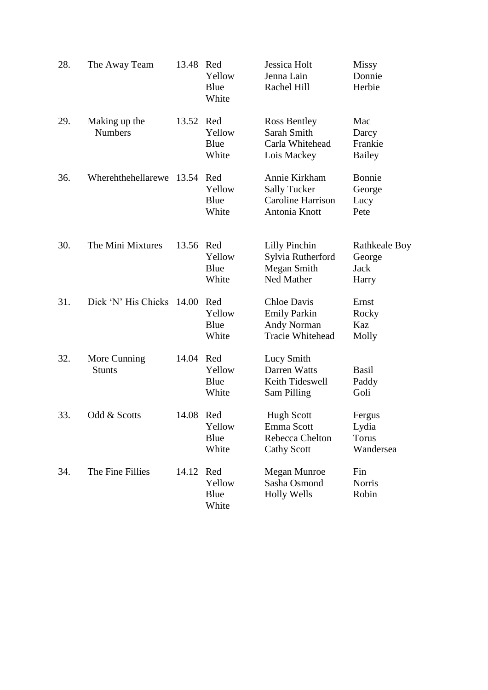| 28. | The Away Team                   | 13.48 Red | Yellow<br>Blue<br>White        | Jessica Holt<br>Jenna Lain<br>Rachel Hill                                         | Missy<br>Donnie<br>Herbie                              |
|-----|---------------------------------|-----------|--------------------------------|-----------------------------------------------------------------------------------|--------------------------------------------------------|
| 29. | Making up the<br><b>Numbers</b> | 13.52 Red | Yellow<br>Blue<br>White        | Ross Bentley<br>Sarah Smith<br>Carla Whitehead<br>Lois Mackey                     | Mac<br>Darcy<br>Frankie<br><b>Bailey</b>               |
| 36. | Wherehthehellarewe              | 13.54 Red | Yellow<br>Blue<br>White        | Annie Kirkham<br><b>Sally Tucker</b><br><b>Caroline Harrison</b><br>Antonia Knott | Bonnie<br>George<br>Lucy<br>Pete                       |
| 30. | The Mini Mixtures               | 13.56 Red | Yellow<br>Blue<br>White        | Lilly Pinchin<br>Sylvia Rutherford<br>Megan Smith<br>Ned Mather                   | <b>Rathkeale Boy</b><br>George<br><b>Jack</b><br>Harry |
| 31. | Dick 'N' His Chicks             | 14.00     | Red<br>Yellow<br>Blue<br>White | Chloe Davis<br><b>Emily Parkin</b><br><b>Andy Norman</b><br>Tracie Whitehead      | Ernst<br>Rocky<br>Kaz<br>Molly                         |
| 32. | More Cunning<br><b>Stunts</b>   | 14.04 Red | Yellow<br>Blue<br>White        | Lucy Smith<br>Darren Watts<br>Keith Tideswell<br>Sam Pilling                      | <b>Basil</b><br>Paddy<br>Goli                          |
| 33. | Odd & Scotts                    | 14.08 Red | Yellow<br>Blue<br>White        | <b>Hugh Scott</b><br>Emma Scott<br>Rebecca Chelton<br><b>Cathy Scott</b>          | Fergus<br>Lydia<br><b>Torus</b><br>Wandersea           |
| 34. | The Fine Fillies                | 14.12     | Red<br>Yellow<br>Blue<br>White | Megan Munroe<br>Sasha Osmond<br><b>Holly Wells</b>                                | Fin<br><b>Norris</b><br>Robin                          |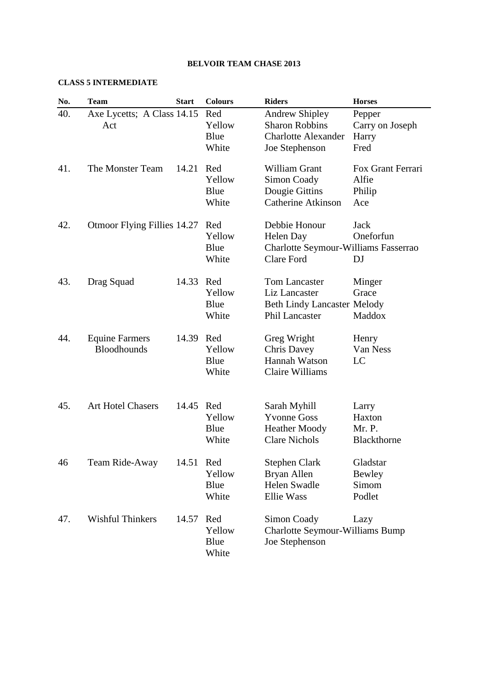### **CLASS 5 INTERMEDIATE**

| No. | <b>Team</b>                                 | <b>Start</b> | <b>Colours</b>                 | <b>Riders</b>                                                                                  | <b>Horses</b>                               |
|-----|---------------------------------------------|--------------|--------------------------------|------------------------------------------------------------------------------------------------|---------------------------------------------|
| 40. | Axe Lycetts; A Class 14.15<br>Act           |              | Red<br>Yellow<br>Blue<br>White | <b>Andrew Shipley</b><br><b>Sharon Robbins</b><br><b>Charlotte Alexander</b><br>Joe Stephenson | Pepper<br>Carry on Joseph<br>Harry<br>Fred  |
| 41. | The Monster Team                            | 14.21        | Red<br>Yellow<br>Blue<br>White | William Grant<br>Simon Coady<br>Dougie Gittins<br><b>Catherine Atkinson</b>                    | Fox Grant Ferrari<br>Alfie<br>Philip<br>Ace |
| 42. | Otmoor Flying Fillies 14.27                 |              | Red<br>Yellow<br>Blue<br>White | Debbie Honour<br>Helen Day<br>Charlotte Seymour-Williams Fasserrao<br><b>Clare Ford</b>        | Jack<br>Oneforfun<br>DJ                     |
| 43. | Drag Squad                                  | 14.33        | Red<br>Yellow<br>Blue<br>White | Tom Lancaster<br>Liz Lancaster<br><b>Beth Lindy Lancaster Melody</b><br>Phil Lancaster         | Minger<br>Grace<br>Maddox                   |
| 44. | <b>Equine Farmers</b><br><b>Bloodhounds</b> | 14.39        | Red<br>Yellow<br>Blue<br>White | Greg Wright<br><b>Chris Davey</b><br>Hannah Watson<br>Claire Williams                          | Henry<br>Van Ness<br>LC                     |
| 45. | <b>Art Hotel Chasers</b>                    | 14.45        | Red<br>Yellow<br>Blue<br>White | Sarah Myhill<br><b>Yvonne Goss</b><br><b>Heather Moody</b><br><b>Clare Nichols</b>             | Larry<br>Haxton<br>Mr. P.<br>Blackthorne    |
| 46  | Team Ride-Away                              | 14.51 Red    | Yellow<br>Blue<br>White        | <b>Stephen Clark</b><br>Bryan Allen<br><b>Helen Swadle</b><br><b>Ellie Wass</b>                | Gladstar<br>Bewley<br>Simom<br>Podlet       |
| 47. | <b>Wishful Thinkers</b>                     | 14.57        | Red<br>Yellow<br>Blue<br>White | Simon Coady<br><b>Charlotte Seymour-Williams Bump</b><br>Joe Stephenson                        | Lazy                                        |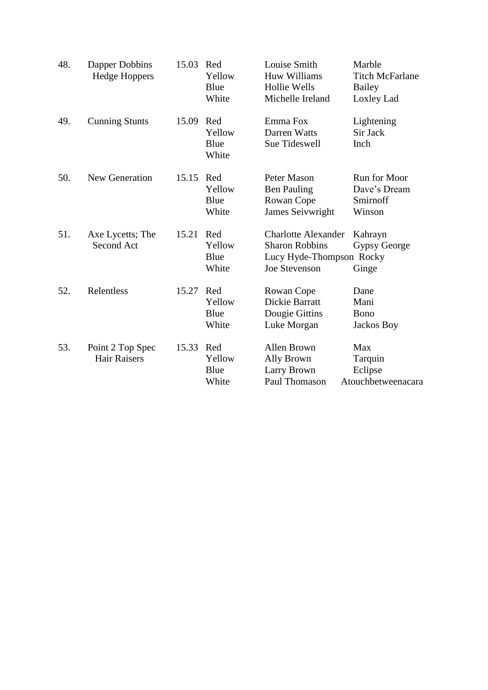| 48. | Dapper Dobbins<br><b>Hedge Hoppers</b>  | 15.03 | Red<br>Yellow<br>Blue<br>White | Louise Smith<br><b>Huw Williams</b><br><b>Hollie Wells</b><br>Michelle Ireland                          | Marble<br><b>Titch McFarlane</b><br><b>Bailey</b><br>Loxley Lad |
|-----|-----------------------------------------|-------|--------------------------------|---------------------------------------------------------------------------------------------------------|-----------------------------------------------------------------|
| 49. | <b>Cunning Stunts</b>                   | 15.09 | Red<br>Yellow<br>Blue<br>White | Emma Fox<br>Darren Watts<br>Sue Tideswell                                                               | Lightening<br>Sir Jack<br>Inch                                  |
| 50. | New Generation                          | 15.15 | Red<br>Yellow<br>Blue<br>White | Peter Mason<br><b>Ben Pauling</b><br>Rowan Cope<br>James Seivwright                                     | Run for Moor<br>Dave's Dream<br>Smirnoff<br>Winson              |
| 51. | Axe Lycetts; The<br>Second Act          | 15.21 | Red<br>Yellow<br>Blue<br>White | <b>Charlotte Alexander</b><br><b>Sharon Robbins</b><br>Lucy Hyde-Thompson Rocky<br><b>Joe Stevenson</b> | Kahrayn<br>Gypsy George<br>Ginge                                |
| 52. | Relentless                              | 15.27 | Red<br>Yellow<br>Blue<br>White | Rowan Cope<br>Dickie Barratt<br>Dougie Gittins<br>Luke Morgan                                           | Dane<br>Mani<br>Bono<br>Jackos Boy                              |
| 53. | Point 2 Top Spec<br><b>Hair Raisers</b> | 15.33 | Red<br>Yellow<br>Blue<br>White | <b>Allen Brown</b><br>Ally Brown<br>Larry Brown<br>Paul Thomason                                        | Max<br>Tarquin<br>Eclipse<br>Atouchbetweenacara                 |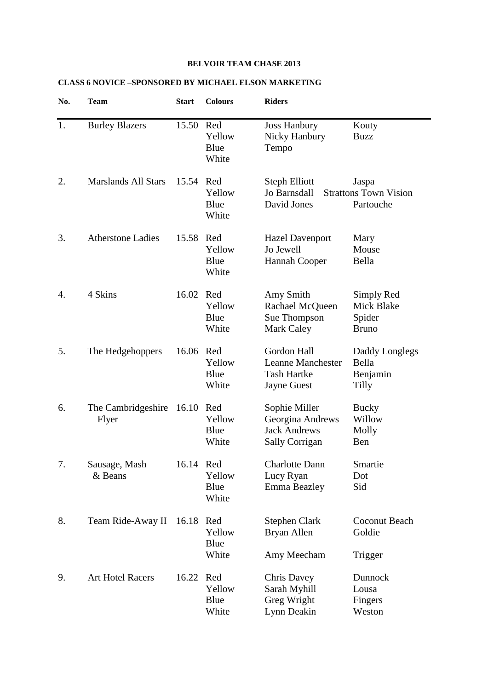# **CLASS 6 NOVICE –SPONSORED BY MICHAEL ELSON MARKETING**

| No. | <b>Team</b>                 | <b>Start</b> | <b>Colours</b>                 | <b>Riders</b>                                                                       |                                                    |
|-----|-----------------------------|--------------|--------------------------------|-------------------------------------------------------------------------------------|----------------------------------------------------|
| 1.  | <b>Burley Blazers</b>       | 15.50        | Red<br>Yellow<br>Blue<br>White | <b>Joss Hanbury</b><br>Nicky Hanbury<br>Tempo                                       | Kouty<br><b>Buzz</b>                               |
| 2.  | <b>Marslands All Stars</b>  | 15.54 Red    | Yellow<br>Blue<br>White        | <b>Steph Elliott</b><br>Jo Barnsdall<br>David Jones                                 | Jaspa<br><b>Strattons Town Vision</b><br>Partouche |
| 3.  | <b>Atherstone Ladies</b>    | 15.58        | Red<br>Yellow<br>Blue<br>White | <b>Hazel Davenport</b><br>Jo Jewell<br>Hannah Cooper                                | Mary<br>Mouse<br>Bella                             |
| 4.  | 4 Skins                     | 16.02        | Red<br>Yellow<br>Blue<br>White | Amy Smith<br>Rachael McQueen<br>Sue Thompson<br><b>Mark Caley</b>                   | Simply Red<br>Mick Blake<br>Spider<br><b>Bruno</b> |
| 5.  | The Hedgehoppers            | 16.06 Red    | Yellow<br>Blue<br>White        | Gordon Hall<br><b>Leanne Manchester</b><br><b>Tash Hartke</b><br><b>Jayne Guest</b> | Daddy Longlegs<br>Bella<br>Benjamin<br>Tilly       |
| 6.  | The Cambridgeshire<br>Flyer | 16.10        | Red<br>Yellow<br>Blue<br>White | Sophie Miller<br>Georgina Andrews<br><b>Jack Andrews</b><br>Sally Corrigan          | <b>Bucky</b><br>Willow<br>Molly<br>Ben             |
| 7.  | Sausage, Mash<br>& Beans    | 16.14 Red    | Yellow<br>Blue<br>White        | <b>Charlotte Dann</b><br>Lucy Ryan<br>Emma Beazley                                  | Smartie<br>Dot<br>Sid                              |
| 8.  | Team Ride-Away II           | 16.18        | Red<br>Yellow<br>Blue<br>White | <b>Stephen Clark</b><br>Bryan Allen<br>Amy Meecham                                  | Coconut Beach<br>Goldie<br>Trigger                 |
| 9.  | <b>Art Hotel Racers</b>     | 16.22        | Red<br>Yellow<br>Blue<br>White | <b>Chris Davey</b><br>Sarah Myhill<br>Greg Wright<br>Lynn Deakin                    | Dunnock<br>Lousa<br>Fingers<br>Weston              |